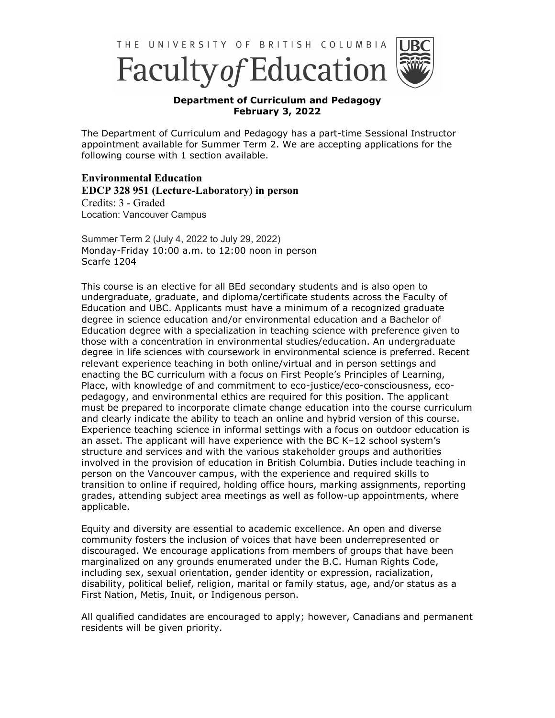



## **Department of Curriculum and Pedagogy February 3, 2022**

The Department of Curriculum and Pedagogy has a part-time Sessional Instructor appointment available for Summer Term 2. We are accepting applications for the following course with 1 section available.

**Environmental Education EDCP 328 951 (Lecture-Laboratory) in person** Credits: 3 - Graded Location: Vancouver Campus

Summer Term 2 (July 4, 2022 to July 29, 2022) Monday-Friday 10:00 a.m. to 12:00 noon in person Scarfe 1204

This course is an elective for all BEd secondary students and is also open to undergraduate, graduate, and diploma/certificate students across the Faculty of Education and UBC. Applicants must have a minimum of a recognized graduate degree in science education and/or environmental education and a Bachelor of Education degree with a specialization in teaching science with preference given to those with a concentration in environmental studies/education. An undergraduate degree in life sciences with coursework in environmental science is preferred. Recent relevant experience teaching in both online/virtual and in person settings and enacting the BC curriculum with a focus on First People's Principles of Learning, Place, with knowledge of and commitment to eco-justice/eco-consciousness, ecopedagogy, and environmental ethics are required for this position. The applicant must be prepared to incorporate climate change education into the course curriculum and clearly indicate the ability to teach an online and hybrid version of this course. Experience teaching science in informal settings with a focus on outdoor education is an asset. The applicant will have experience with the BC K–12 school system's structure and services and with the various stakeholder groups and authorities involved in the provision of education in British Columbia. Duties include teaching in person on the Vancouver campus, with the experience and required skills to transition to online if required, holding office hours, marking assignments, reporting grades, attending subject area meetings as well as follow-up appointments, where applicable.

Equity and diversity are essential to academic excellence. An open and diverse community fosters the inclusion of voices that have been underrepresented or discouraged. We encourage applications from members of groups that have been marginalized on any grounds enumerated under the B.C. Human Rights Code, including sex, sexual orientation, gender identity or expression, racialization, disability, political belief, religion, marital or family status, age, and/or status as a First Nation, Metis, Inuit, or Indigenous person.

All qualified candidates are encouraged to apply; however, Canadians and permanent residents will be given priority.